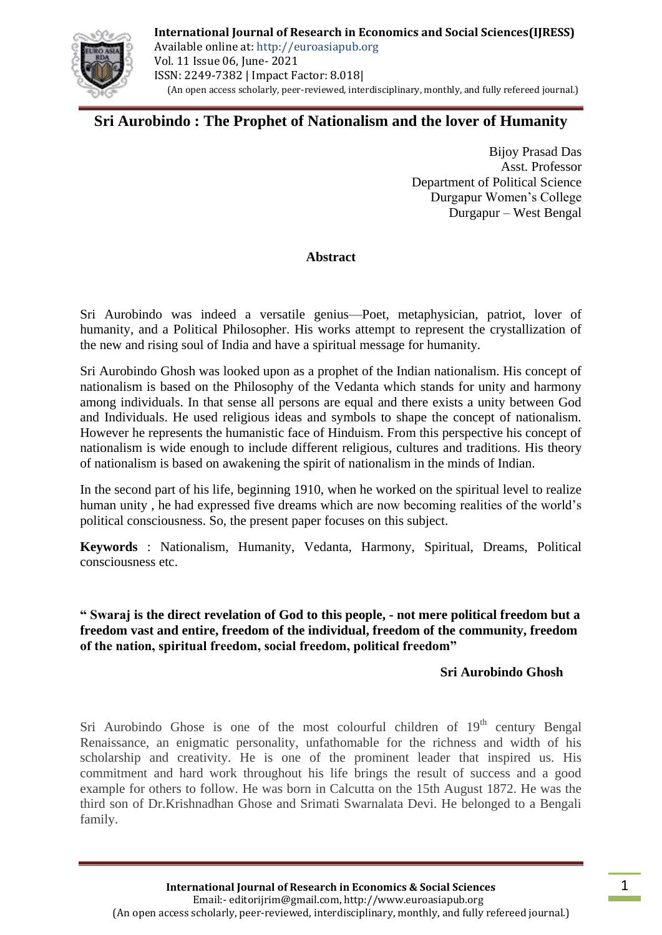

# **Sri Aurobindo : The Prophet of Nationalism and the lover of Humanity**

Bijoy Prasad Das Asst. Professor Department of Political Science Durgapur Women's College Durgapur – West Bengal

#### **Abstract**

Sri Aurobindo was indeed a versatile genius—Poet, metaphysician, patriot, lover of humanity, and a Political Philosopher. His works attempt to represent the crystallization of the new and rising soul of India and have a spiritual message for humanity.

Sri Aurobindo Ghosh was looked upon as a prophet of the Indian nationalism. His concept of nationalism is based on the Philosophy of the Vedanta which stands for unity and harmony among individuals. In that sense all persons are equal and there exists a unity between God and Individuals. He used religious ideas and symbols to shape the concept of nationalism. However he represents the humanistic face of Hinduism. From this perspective his concept of nationalism is wide enough to include different religious, cultures and traditions. His theory of nationalism is based on awakening the spirit of nationalism in the minds of Indian.

In the second part of his life, beginning 1910, when he worked on the spiritual level to realize human unity , he had expressed five dreams which are now becoming realities of the world's political consciousness. So, the present paper focuses on this subject.

**Keywords** : Nationalism, Humanity, Vedanta, Harmony, Spiritual, Dreams, Political consciousness etc.

#### **" Swaraj is the direct revelation of God to this people, - not mere political freedom but a freedom vast and entire, freedom of the individual, freedom of the community, freedom of the nation, spiritual freedom, social freedom, political freedom"**

## **Sri Aurobindo Ghosh**

Sri Aurobindo Ghose is one of the most colourful children of  $19<sup>th</sup>$  century Bengal Renaissance, an enigmatic personality, unfathomable for the richness and width of his scholarship and creativity. He is one of the prominent leader that inspired us. His commitment and hard work throughout his life brings the result of success and a good example for others to follow. He was born in Calcutta on the 15th August 1872. He was the third son of Dr.Krishnadhan Ghose and Srimati Swarnalata Devi. He belonged to a Bengali family.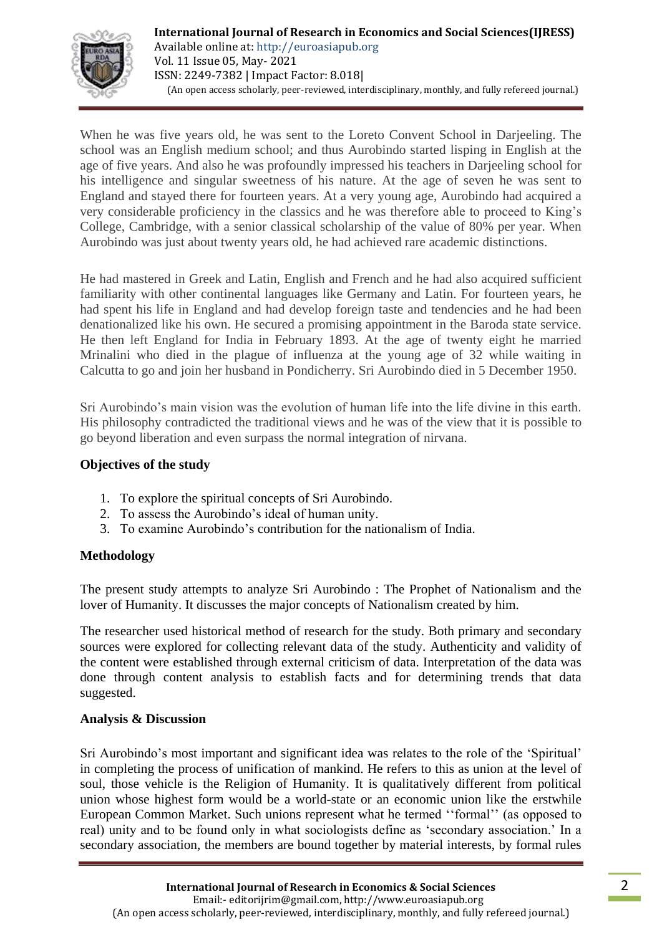

When he was five years old, he was sent to the Loreto Convent School in Darjeeling. The school was an English medium school; and thus Aurobindo started lisping in English at the age of five years. And also he was profoundly impressed his teachers in Darjeeling school for his intelligence and singular sweetness of his nature. At the age of seven he was sent to England and stayed there for fourteen years. At a very young age, Aurobindo had acquired a very considerable proficiency in the classics and he was therefore able to proceed to King's College, Cambridge, with a senior classical scholarship of the value of 80% per year. When Aurobindo was just about twenty years old, he had achieved rare academic distinctions.

He had mastered in Greek and Latin, English and French and he had also acquired sufficient familiarity with other continental languages like Germany and Latin. For fourteen years, he had spent his life in England and had develop foreign taste and tendencies and he had been denationalized like his own. He secured a promising appointment in the Baroda state service. He then left England for India in February 1893. At the age of twenty eight he married Mrinalini who died in the plague of influenza at the young age of 32 while waiting in Calcutta to go and join her husband in Pondicherry. Sri Aurobindo died in 5 December 1950.

Sri Aurobindo's main vision was the evolution of human life into the life divine in this earth. His philosophy contradicted the traditional views and he was of the view that it is possible to go beyond liberation and even surpass the normal integration of nirvana.

#### **Objectives of the study**

- 1. To explore the spiritual concepts of Sri Aurobindo.
- 2. To assess the Aurobindo's ideal of human unity.
- 3. To examine Aurobindo's contribution for the nationalism of India.

#### **Methodology**

The present study attempts to analyze Sri Aurobindo : The Prophet of Nationalism and the lover of Humanity. It discusses the major concepts of Nationalism created by him.

The researcher used historical method of research for the study. Both primary and secondary sources were explored for collecting relevant data of the study. Authenticity and validity of the content were established through external criticism of data. Interpretation of the data was done through content analysis to establish facts and for determining trends that data suggested.

#### **Analysis & Discussion**

Sri Aurobindo's most important and significant idea was relates to the role of the 'Spiritual' in completing the process of unification of mankind. He refers to this as union at the level of soul, those vehicle is the Religion of Humanity. It is qualitatively different from political union whose highest form would be a world-state or an economic union like the erstwhile European Common Market. Such unions represent what he termed "formal" (as opposed to real) unity and to be found only in what sociologists define as 'secondary association.' In a secondary association, the members are bound together by material interests, by formal rules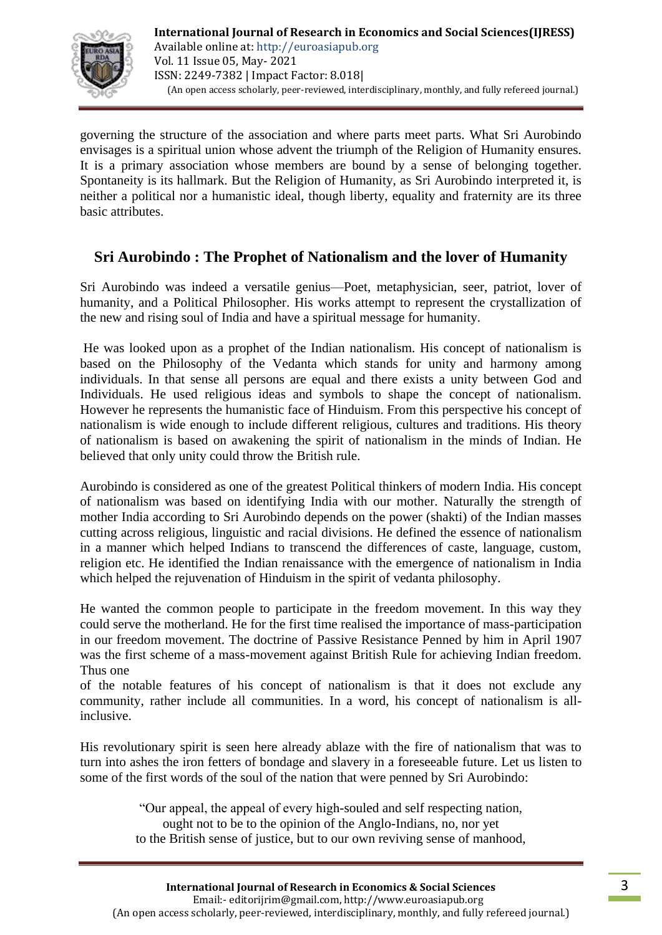

governing the structure of the association and where parts meet parts. What Sri Aurobindo envisages is a spiritual union whose advent the triumph of the Religion of Humanity ensures. It is a primary association whose members are bound by a sense of belonging together. Spontaneity is its hallmark. But the Religion of Humanity, as Sri Aurobindo interpreted it, is neither a political nor a humanistic ideal, though liberty, equality and fraternity are its three basic attributes.

## **Sri Aurobindo : The Prophet of Nationalism and the lover of Humanity**

Sri Aurobindo was indeed a versatile genius—Poet, metaphysician, seer, patriot, lover of humanity, and a Political Philosopher. His works attempt to represent the crystallization of the new and rising soul of India and have a spiritual message for humanity.

He was looked upon as a prophet of the Indian nationalism. His concept of nationalism is based on the Philosophy of the Vedanta which stands for unity and harmony among individuals. In that sense all persons are equal and there exists a unity between God and Individuals. He used religious ideas and symbols to shape the concept of nationalism. However he represents the humanistic face of Hinduism. From this perspective his concept of nationalism is wide enough to include different religious, cultures and traditions. His theory of nationalism is based on awakening the spirit of nationalism in the minds of Indian. He believed that only unity could throw the British rule.

Aurobindo is considered as one of the greatest Political thinkers of modern India. His concept of nationalism was based on identifying India with our mother. Naturally the strength of mother India according to Sri Aurobindo depends on the power (shakti) of the Indian masses cutting across religious, linguistic and racial divisions. He defined the essence of nationalism in a manner which helped Indians to transcend the differences of caste, language, custom, religion etc. He identified the Indian renaissance with the emergence of nationalism in India which helped the rejuvenation of Hinduism in the spirit of vedanta philosophy.

He wanted the common people to participate in the freedom movement. In this way they could serve the motherland. He for the first time realised the importance of mass-participation in our freedom movement. The doctrine of Passive Resistance Penned by him in April 1907 was the first scheme of a mass-movement against British Rule for achieving Indian freedom. Thus one

of the notable features of his concept of nationalism is that it does not exclude any community, rather include all communities. In a word, his concept of nationalism is allinclusive.

His revolutionary spirit is seen here already ablaze with the fire of nationalism that was to turn into ashes the iron fetters of bondage and slavery in a foreseeable future. Let us listen to some of the first words of the soul of the nation that were penned by Sri Aurobindo:

> ―Our appeal, the appeal of every high-souled and self respecting nation, ought not to be to the opinion of the Anglo-Indians, no, nor yet to the British sense of justice, but to our own reviving sense of manhood,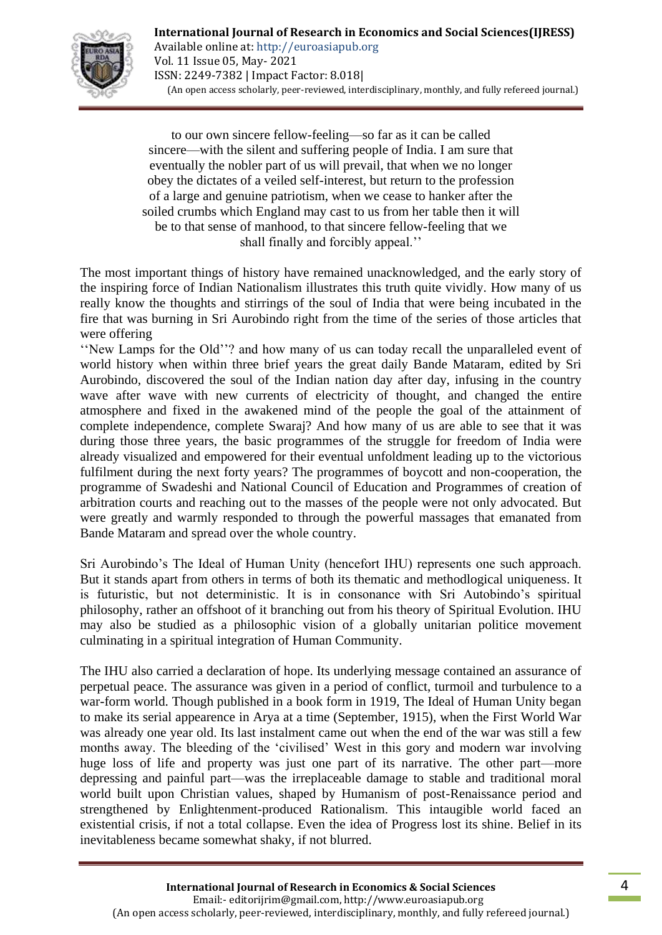

to our own sincere fellow-feeling—so far as it can be called sincere—with the silent and suffering people of India. I am sure that eventually the nobler part of us will prevail, that when we no longer obey the dictates of a veiled self-interest, but return to the profession of a large and genuine patriotism, when we cease to hanker after the soiled crumbs which England may cast to us from her table then it will be to that sense of manhood, to that sincere fellow-feeling that we shall finally and forcibly appeal.''

The most important things of history have remained unacknowledged, and the early story of the inspiring force of Indian Nationalism illustrates this truth quite vividly. How many of us really know the thoughts and stirrings of the soul of India that were being incubated in the fire that was burning in Sri Aurobindo right from the time of the series of those articles that were offering

‗‗New Lamps for the Old''? and how many of us can today recall the unparalleled event of world history when within three brief years the great daily Bande Mataram, edited by Sri Aurobindo, discovered the soul of the Indian nation day after day, infusing in the country wave after wave with new currents of electricity of thought, and changed the entire atmosphere and fixed in the awakened mind of the people the goal of the attainment of complete independence, complete Swaraj? And how many of us are able to see that it was during those three years, the basic programmes of the struggle for freedom of India were already visualized and empowered for their eventual unfoldment leading up to the victorious fulfilment during the next forty years? The programmes of boycott and non-cooperation, the programme of Swadeshi and National Council of Education and Programmes of creation of arbitration courts and reaching out to the masses of the people were not only advocated. But were greatly and warmly responded to through the powerful massages that emanated from Bande Mataram and spread over the whole country.

Sri Aurobindo's The Ideal of Human Unity (hencefort IHU) represents one such approach. But it stands apart from others in terms of both its thematic and methodlogical uniqueness. It is futuristic, but not deterministic. It is in consonance with Sri Autobindo's spiritual philosophy, rather an offshoot of it branching out from his theory of Spiritual Evolution. IHU may also be studied as a philosophic vision of a globally unitarian politice movement culminating in a spiritual integration of Human Community.

The IHU also carried a declaration of hope. Its underlying message contained an assurance of perpetual peace. The assurance was given in a period of conflict, turmoil and turbulence to a war-form world. Though published in a book form in 1919, The Ideal of Human Unity began to make its serial appearence in Arya at a time (September, 1915), when the First World War was already one year old. Its last instalment came out when the end of the war was still a few months away. The bleeding of the 'civilised' West in this gory and modern war involving huge loss of life and property was just one part of its narrative. The other part—more depressing and painful part—was the irreplaceable damage to stable and traditional moral world built upon Christian values, shaped by Humanism of post-Renaissance period and strengthened by Enlightenment-produced Rationalism. This intaugible world faced an existential crisis, if not a total collapse. Even the idea of Progress lost its shine. Belief in its inevitableness became somewhat shaky, if not blurred.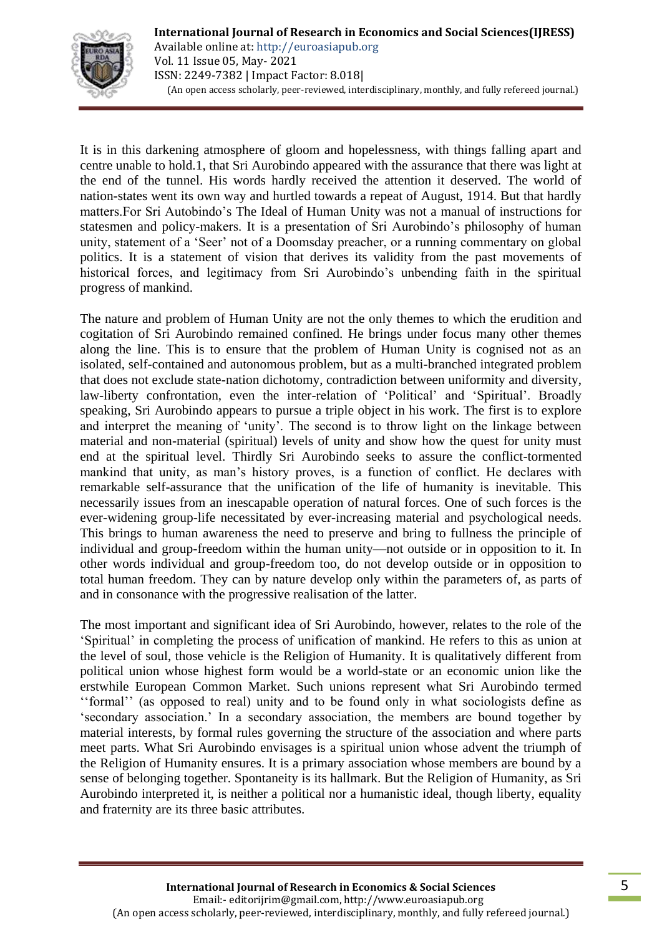

It is in this darkening atmosphere of gloom and hopelessness, with things falling apart and centre unable to hold.1, that Sri Aurobindo appeared with the assurance that there was light at the end of the tunnel. His words hardly received the attention it deserved. The world of nation-states went its own way and hurtled towards a repeat of August, 1914. But that hardly matters.For Sri Autobindo's The Ideal of Human Unity was not a manual of instructions for statesmen and policy-makers. It is a presentation of Sri Aurobindo's philosophy of human unity, statement of a 'Seer' not of a Doomsday preacher, or a running commentary on global politics. It is a statement of vision that derives its validity from the past movements of historical forces, and legitimacy from Sri Aurobindo's unbending faith in the spiritual progress of mankind.

The nature and problem of Human Unity are not the only themes to which the erudition and cogitation of Sri Aurobindo remained confined. He brings under focus many other themes along the line. This is to ensure that the problem of Human Unity is cognised not as an isolated, self-contained and autonomous problem, but as a multi-branched integrated problem that does not exclude state-nation dichotomy, contradiction between uniformity and diversity, law-liberty confrontation, even the inter-relation of 'Political' and 'Spiritual'. Broadly speaking, Sri Aurobindo appears to pursue a triple object in his work. The first is to explore and interpret the meaning of 'unity'. The second is to throw light on the linkage between material and non-material (spiritual) levels of unity and show how the quest for unity must end at the spiritual level. Thirdly Sri Aurobindo seeks to assure the conflict-tormented mankind that unity, as man's history proves, is a function of conflict. He declares with remarkable self-assurance that the unification of the life of humanity is inevitable. This necessarily issues from an inescapable operation of natural forces. One of such forces is the ever-widening group-life necessitated by ever-increasing material and psychological needs. This brings to human awareness the need to preserve and bring to fullness the principle of individual and group-freedom within the human unity—not outside or in opposition to it. In other words individual and group-freedom too, do not develop outside or in opposition to total human freedom. They can by nature develop only within the parameters of, as parts of and in consonance with the progressive realisation of the latter.

The most important and significant idea of Sri Aurobindo, however, relates to the role of the ‗Spiritual' in completing the process of unification of mankind. He refers to this as union at the level of soul, those vehicle is the Religion of Humanity. It is qualitatively different from political union whose highest form would be a world-state or an economic union like the erstwhile European Common Market. Such unions represent what Sri Aurobindo termed ‗‗formal'' (as opposed to real) unity and to be found only in what sociologists define as ‗secondary association.' In a secondary association, the members are bound together by material interests, by formal rules governing the structure of the association and where parts meet parts. What Sri Aurobindo envisages is a spiritual union whose advent the triumph of the Religion of Humanity ensures. It is a primary association whose members are bound by a sense of belonging together. Spontaneity is its hallmark. But the Religion of Humanity, as Sri Aurobindo interpreted it, is neither a political nor a humanistic ideal, though liberty, equality and fraternity are its three basic attributes.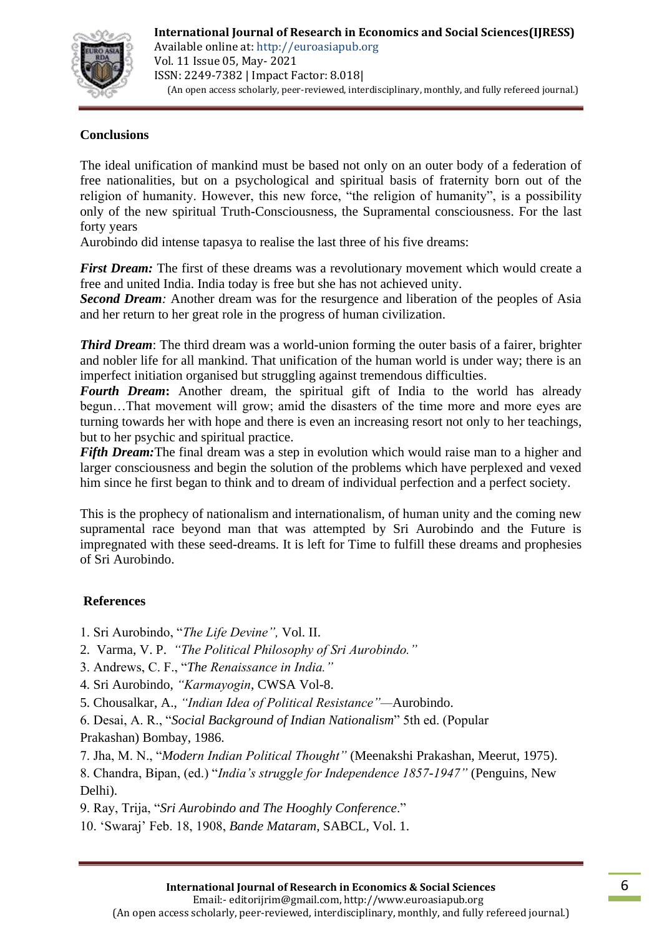

### **Conclusions**

The ideal unification of mankind must be based not only on an outer body of a federation of free nationalities, but on a psychological and spiritual basis of fraternity born out of the religion of humanity. However, this new force, "the religion of humanity", is a possibility only of the new spiritual Truth-Consciousness, the Supramental consciousness. For the last forty years

Aurobindo did intense tapasya to realise the last three of his five dreams:

*First Dream:* The first of these dreams was a revolutionary movement which would create a free and united India. India today is free but she has not achieved unity.

*Second Dream:* Another dream was for the resurgence and liberation of the peoples of Asia and her return to her great role in the progress of human civilization.

*Third Dream*: The third dream was a world-union forming the outer basis of a fairer, brighter and nobler life for all mankind. That unification of the human world is under way; there is an imperfect initiation organised but struggling against tremendous difficulties.

*Fourth Dream***:** Another dream, the spiritual gift of India to the world has already begun…That movement will grow; amid the disasters of the time more and more eyes are turning towards her with hope and there is even an increasing resort not only to her teachings, but to her psychic and spiritual practice.

*Fifth Dream:* The final dream was a step in evolution which would raise man to a higher and larger consciousness and begin the solution of the problems which have perplexed and vexed him since he first began to think and to dream of individual perfection and a perfect society.

This is the prophecy of nationalism and internationalism, of human unity and the coming new supramental race beyond man that was attempted by Sri Aurobindo and the Future is impregnated with these seed-dreams. It is left for Time to fulfill these dreams and prophesies of Sri Aurobindo.

#### **References**

1. Sri Aurobindo, ―*The Life Devine",* Vol. II.

- 2. Varma, V. P. *"The Political Philosophy of Sri Aurobindo."*
- 3. Andrews, C. F., ―*The Renaissance in India."*
- 4. Sri Aurobindo, *"Karmayogin*, CWSA Vol-8.
- 5. Chousalkar, A., *"Indian Idea of Political Resistance"—*Aurobindo.
- 6. Desai, A. R., ―*Social Background of Indian Nationalism*‖ 5th ed. (Popular Prakashan) Bombay, 1986.
- 7. Jha, M. N., ―*Modern Indian Political Thought"* (Meenakshi Prakashan, Meerut, 1975).

8. Chandra, Bipan, (ed.) "*India's struggle for Independence 1857-1947*" (Penguins, New Delhi).

9. Ray, Trija, "*Sri Aurobindo and The Hooghly Conference*."

10. ‗Swaraj' Feb. 18, 1908, *Bande Mataram*, SABCL, Vol. 1.